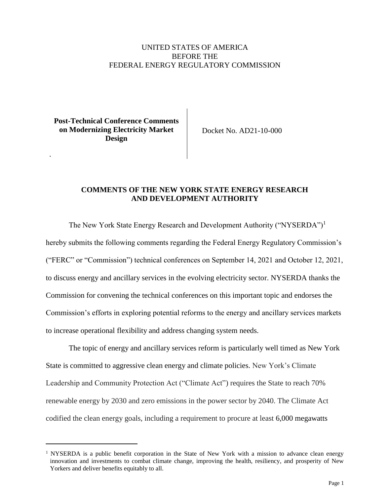## UNITED STATES OF AMERICA BEFORE THE FEDERAL ENERGY REGULATORY COMMISSION

**Post-Technical Conference Comments on Modernizing Electricity Market Design**

.

Docket No. AD21-10-000

## **COMMENTS OF THE NEW YORK STATE ENERGY RESEARCH AND DEVELOPMENT AUTHORITY**

The New York State Energy Research and Development Authority ("NYSERDA")<sup>1</sup> hereby submits the following comments regarding the Federal Energy Regulatory Commission's ("FERC" or "Commission") technical conferences on September 14, 2021 and October 12, 2021, to discuss energy and ancillary services in the evolving electricity sector. NYSERDA thanks the Commission for convening the technical conferences on this important topic and endorses the Commission's efforts in exploring potential reforms to the energy and ancillary services markets to increase operational flexibility and address changing system needs.

The topic of energy and ancillary services reform is particularly well timed as New York State is committed to aggressive clean energy and climate policies. New York's Climate Leadership and Community Protection Act ("Climate Act") requires the State to reach 70% renewable energy by 2030 and zero emissions in the power sector by 2040. The Climate Act codified the clean energy goals, including a requirement to procure at least 6,000 megawatts

<sup>&</sup>lt;sup>1</sup> NYSERDA is a public benefit corporation in the State of New York with a mission to advance clean energy innovation and investments to combat climate change, improving the health, resiliency, and prosperity of New Yorkers and deliver benefits equitably to all.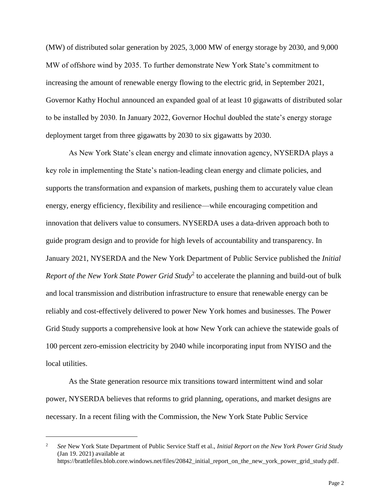(MW) of distributed solar generation by 2025, 3,000 MW of energy storage by 2030, and 9,000 MW of offshore wind by 2035. To further demonstrate New York State's commitment to increasing the amount of renewable energy flowing to the electric grid, in September 2021, Governor Kathy Hochul announced an expanded goal of at least 10 gigawatts of distributed solar to be installed by 2030. In January 2022, Governor Hochul doubled the state's energy storage deployment target from three gigawatts by 2030 to six gigawatts by 2030.

As New York State's clean energy and climate innovation agency, NYSERDA plays a key role in implementing the State's nation-leading clean energy and climate policies, and supports the transformation and expansion of markets, pushing them to accurately value clean energy, energy efficiency, flexibility and resilience—while encouraging competition and innovation that delivers value to consumers. NYSERDA uses a data-driven approach both to guide program design and to provide for high levels of accountability and transparency. In January 2021, NYSERDA and the New York Department of Public Service published the *Initial* Report of the New York State Power Grid Study<sup>2</sup> to accelerate the planning and build-out of bulk and local transmission and distribution infrastructure to ensure that renewable energy can be reliably and cost-effectively delivered to power New York homes and businesses. The Power Grid Study supports a comprehensive look at how New York can achieve the statewide goals of 100 percent zero-emission electricity by 2040 while incorporating input from NYISO and the local utilities.

As the State generation resource mix transitions toward intermittent wind and solar power, NYSERDA believes that reforms to grid planning, operations, and market designs are necessary. In a recent filing with the Commission, the New York State Public Service

<sup>2</sup> *See* New York State Department of Public Service Staff et al., *Initial Report on the New York Power Grid Study* (Jan 19. 2021) available at https://brattlefiles.blob.core.windows.net/files/20842\_initial\_report\_on\_the\_new\_york\_power\_grid\_study.pdf.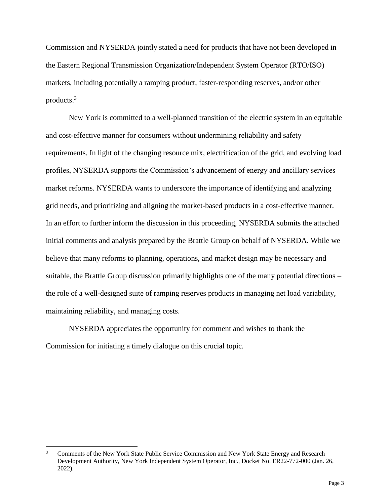Commission and NYSERDA jointly stated a need for products that have not been developed in the Eastern Regional Transmission Organization/Independent System Operator (RTO/ISO) markets, including potentially a ramping product, faster-responding reserves, and/or other products.<sup>3</sup>

New York is committed to a well-planned transition of the electric system in an equitable and cost-effective manner for consumers without undermining reliability and safety requirements. In light of the changing resource mix, electrification of the grid, and evolving load profiles, NYSERDA supports the Commission's advancement of energy and ancillary services market reforms. NYSERDA wants to underscore the importance of identifying and analyzing grid needs, and prioritizing and aligning the market-based products in a cost-effective manner. In an effort to further inform the discussion in this proceeding, NYSERDA submits the attached initial comments and analysis prepared by the Brattle Group on behalf of NYSERDA. While we believe that many reforms to planning, operations, and market design may be necessary and suitable, the Brattle Group discussion primarily highlights one of the many potential directions – the role of a well-designed suite of ramping reserves products in managing net load variability, maintaining reliability, and managing costs.

NYSERDA appreciates the opportunity for comment and wishes to thank the Commission for initiating a timely dialogue on this crucial topic.

<sup>3</sup> Comments of the New York State Public Service Commission and New York State Energy and Research Development Authority, New York Independent System Operator, Inc., Docket No. ER22-772-000 (Jan. 26, 2022).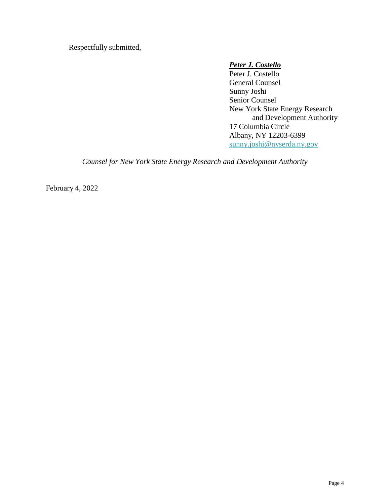Respectfully submitted,

## *Peter J. Costello*

Peter J. Costello General Counsel Sunny Joshi Senior Counsel New York State Energy Research and Development Authority 17 Columbia Circle Albany, NY 12203-6399 [sunny.joshi@nyserda.ny.gov](mailto:sunny.joshi@nyserda.ny.gov)

*Counsel for New York State Energy Research and Development Authority*

February 4, 2022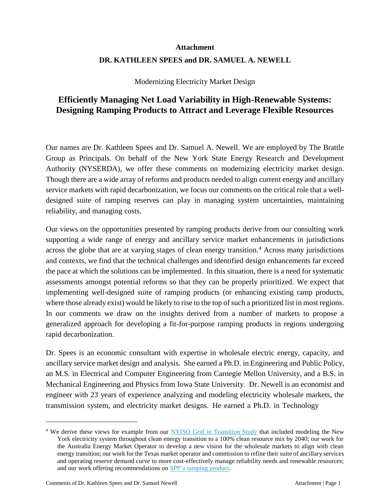# **Attachment DR. KATHLEEN SPEES and DR. SAMUEL A. NEWELL**

Modernizing Electricity Market Design

# **Efficiently Managing Net Load Variability in High-Renewable Systems: Designing Ramping Products to Attract and Leverage Flexible Resources**

Our names are Dr. Kathleen Spees and Dr. Samuel A. Newell. We are employed by The Brattle Group as Principals. On behalf of the New York State Energy Research and Development Authority (NYSERDA), we offer these comments on modernizing electricity market design. Though there are a wide array of reforms and products needed to align current energy and ancillary service markets with rapid decarbonization, we focus our comments on the critical role that a welldesigned suite of ramping reserves can play in managing system uncertainties, maintaining reliability, and managing costs.

Our views on the opportunities presented by ramping products derive from our consulting work supporting a wide range of energy and ancillary service market enhancements in jurisdictions across the globe that are at varying stages of clean energy transition.<sup>4</sup> Across many jurisdictions and contexts, we find that the technical challenges and identified design enhancements far exceed the pace at which the solutions can be implemented. In this situation, there is a need for systematic assessments amongst potential reforms so that they can be properly prioritized. We expect that implementing well-designed suite of ramping products (or enhancing existing ramp products, where those already exist) would be likely to rise to the top of such a prioritized list in most regions. In our comments we draw on the insights derived from a number of markets to propose a generalized approach for developing a fit-for-purpose ramping products in regions undergoing rapid decarbonization.

Dr. Spees is an economic consultant with expertise in wholesale electric energy, capacity, and ancillary service market design and analysis. She earned a Ph.D. in Engineering and Public Policy, an M.S. in Electrical and Computer Engineering from Carnegie Mellon University, and a B.S. in Mechanical Engineering and Physics from Iowa State University. Dr. Newell is an economist and engineer with 23 years of experience analyzing and modeling electricity wholesale markets, the transmission system, and electricity market designs. He earned a Ph.D. in Technology

<sup>4</sup> We derive these views for example from our [NYISO Grid in Transition Study](https://www.nyiso.com/documents/20142/11593028/2020.03.30%20Stakeholder%20Meeting%20Deck%20Brattle%20FOR%20POSTING.pdf/06562da7-ee27-cece-57f0-afd7d688121a) that included modeling the New York electricity system throughout clean energy transition to a 100% clean resource mix by 2040; our work for the Australia Energy Market Operator to develop a new vision for the wholesale markets to align with clean energy transition; our work for the Texas market operator and commission to refine their suite of ancillary services and operating reserve demand curve to more cost-effectively manage reliability needs and renewable resources; and our work offering recommendations on SPP's [ramping product.](https://www.brattle.com/wp-content/uploads/2021/05/14452_3_a_brattle_comments_on_spp_ramp_product.pdf)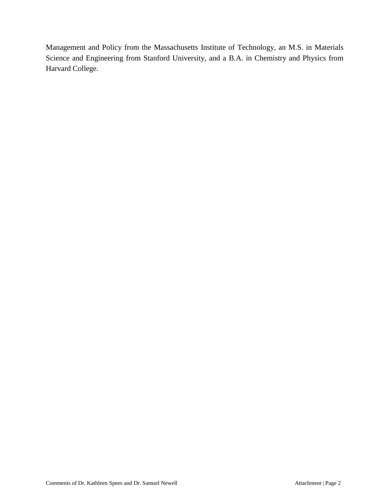Management and Policy from the Massachusetts Institute of Technology, an M.S. in Materials Science and Engineering from Stanford University, and a B.A. in Chemistry and Physics from Harvard College.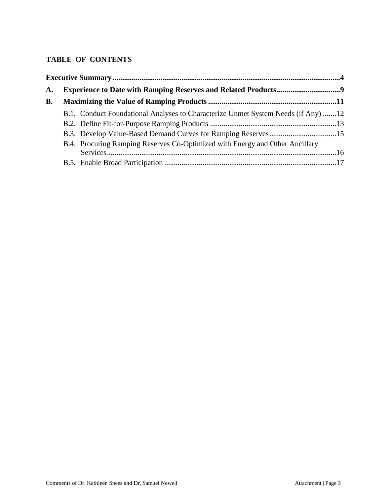# **TABLE OF CONTENTS**

| А. |  |                                                                                   |  |  |  |  |  |
|----|--|-----------------------------------------------------------------------------------|--|--|--|--|--|
| B. |  |                                                                                   |  |  |  |  |  |
|    |  | B.1. Conduct Foundational Analyses to Characterize Unmet System Needs (if Any) 12 |  |  |  |  |  |
|    |  |                                                                                   |  |  |  |  |  |
|    |  |                                                                                   |  |  |  |  |  |
|    |  | B.4. Procuring Ramping Reserves Co-Optimized with Energy and Other Ancillary      |  |  |  |  |  |
|    |  |                                                                                   |  |  |  |  |  |
|    |  |                                                                                   |  |  |  |  |  |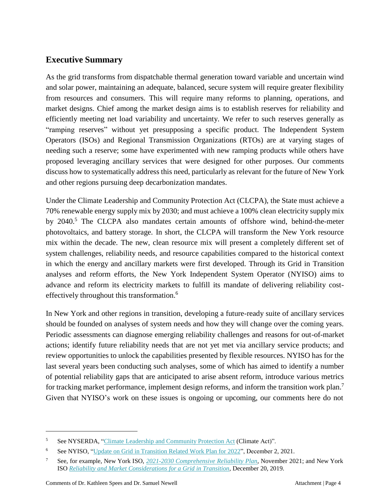# <span id="page-7-0"></span>**Executive Summary**

As the grid transforms from dispatchable thermal generation toward variable and uncertain wind and solar power, maintaining an adequate, balanced, secure system will require greater flexibility from resources and consumers. This will require many reforms to planning, operations, and market designs. Chief among the market design aims is to establish reserves for reliability and efficiently meeting net load variability and uncertainty. We refer to such reserves generally as "ramping reserves" without yet presupposing a specific product. The Independent System Operators (ISOs) and Regional Transmission Organizations (RTOs) are at varying stages of needing such a reserve; some have experimented with new ramping products while others have proposed leveraging ancillary services that were designed for other purposes. Our comments discuss how to systematically address this need, particularly as relevant for the future of New York and other regions pursuing deep decarbonization mandates.

Under the Climate Leadership and Community Protection Act (CLCPA), the State must achieve a 70% renewable energy supply mix by 2030; and must achieve a 100% clean electricity supply mix by 2040.<sup>5</sup> The CLCPA also mandates certain amounts of offshore wind, behind-the-meter photovoltaics, and battery storage. In short, the CLCPA will transform the New York resource mix within the decade. The new, clean resource mix will present a completely different set of system challenges, reliability needs, and resource capabilities compared to the historical context in which the energy and ancillary markets were first developed. Through its Grid in Transition analyses and reform efforts, the New York Independent System Operator (NYISO) aims to advance and reform its electricity markets to fulfill its mandate of delivering reliability costeffectively throughout this transformation.<sup>6</sup>

In New York and other regions in transition, developing a future-ready suite of ancillary services should be founded on analyses of system needs and how they will change over the coming years. Periodic assessments can diagnose emerging reliability challenges and reasons for out-of-market actions; identify future reliability needs that are not yet met via ancillary service products; and review opportunities to unlock the capabilities presented by flexible resources. NYISO has for the last several years been conducting such analyses, some of which has aimed to identify a number of potential reliability gaps that are anticipated to arise absent reform, introduce various metrics for tracking market performance, implement design reforms, and inform the transition work plan.<sup>7</sup> Given that NYISO's work on these issues is ongoing or upcoming, our comments here do not

<sup>&</sup>lt;sup>5</sup> See NYSERDA, "Climate Leadership and [Community](https://www.nyserda.ny.gov/All-Programs/CLCPA) Protection Act (Climate Act)".

<sup>&</sup>lt;sup>6</sup> See NYISO, "Update on Grid in Transition [Related Work](https://www.nyiso.com/documents/20142/26628478/20211202%20NYISO%20-%20Update%20on%20Grid%20in%20Transition%20Recommendations%202021%20and%202022.pdf/d5179916-b211-6c3a-bd93-e1ca1a2a23c6) Plan for 2022", December 2, 2021.

<sup>7</sup> See, for example, New York ISO, *2021-2030 [Comprehensive](https://www.nyiso.com/documents/20142/26119798/06_DraftReport.pdf/a435d1b0-b08c-9540-c3a3-0fcbb4a543b7) Reliability Plan*, November 2021; and New York ISO *[Reliability and Market](https://www.nyiso.com/documents/20142/2224547/Reliability-and-Market-Considerations-for-a-Grid-in-Transition-20191220%20Final.pdf/61a69b2e-0ca3-f18c-cc39-88a793469d50) Considerations for a Grid in Transition,* December 20, 2019.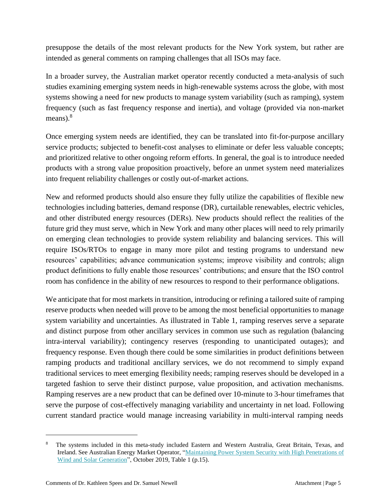presuppose the details of the most relevant products for the New York system, but rather are intended as general comments on ramping challenges that all ISOs may face.

In a broader survey, the Australian market operator recently conducted a meta-analysis of such studies examining emerging system needs in high-renewable systems across the globe, with most systems showing a need for new products to manage system variability (such as ramping), system frequency (such as fast frequency response and inertia), and voltage (provided via non-market means). $8$ 

Once emerging system needs are identified, they can be translated into fit-for-purpose ancillary service products; subjected to benefit-cost analyses to eliminate or defer less valuable concepts; and prioritized relative to other ongoing reform efforts. In general, the goal is to introduce needed products with a strong value proposition proactively, before an unmet system need materializes into frequent reliability challenges or costly out-of-market actions.

New and reformed products should also ensure they fully utilize the capabilities of flexible new technologies including batteries, demand response (DR), curtailable renewables, electric vehicles, and other distributed energy resources (DERs). New products should reflect the realities of the future grid they must serve, which in New York and many other places will need to rely primarily on emerging clean technologies to provide system reliability and balancing services. This will require ISOs/RTOs to engage in many more pilot and testing programs to understand new resources' capabilities; advance communication systems; improve visibility and controls; align product definitions to fully enable those resources' contributions; and ensure that the ISO control room has confidence in the ability of new resources to respond to their performance obligations.

We anticipate that for most markets in transition, introducing or refining a tailored suite of ramping reserve products when needed will prove to be among the most beneficial opportunities to manage system variability and uncertainties. As illustrated in [Table 1,](#page-9-0) ramping reserves serve a separate and distinct purpose from other ancillary services in common use such as regulation (balancing intra-interval variability); contingency reserves (responding to unanticipated outages); and frequency response. Even though there could be some similarities in product definitions between ramping products and traditional ancillary services, we do not recommend to simply expand traditional services to meet emerging flexibility needs; ramping reserves should be developed in a targeted fashion to serve their distinct purpose, value proposition, and activation mechanisms. Ramping reserves are a new product that can be defined over 10-minute to 3-hour timeframes that serve the purpose of cost-effectively managing variability and uncertainty in net load. Following current standard practice would manage increasing variability in multi-interval ramping needs

<sup>8</sup> The systems included in this meta-study included Eastern and Western Australia, Great Britain, Texas, and Ireland. See Australian Energy Market Operator, ["Maintaining](https://aemo.com.au/-/media/files/electricity/nem/security_and_reliability/future-energy-systems/2019/aemo-ris-international-review-oct-19.pdf?la=en) Power System Security with High Penetrations of Wind and Solar [Generation"](https://aemo.com.au/-/media/files/electricity/nem/security_and_reliability/future-energy-systems/2019/aemo-ris-international-review-oct-19.pdf?la=en), October 2019, Table 1 (p.15).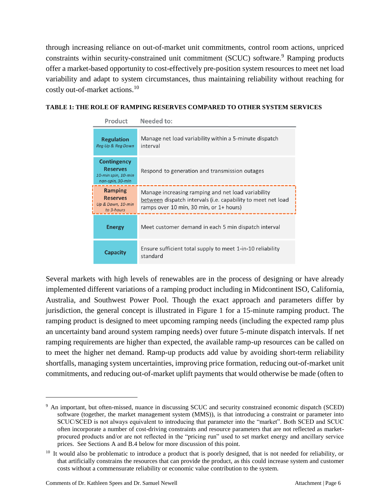through increasing reliance on out-of-market unit commitments, control room actions, unpriced constraints within security-constrained unit commitment (SCUC) software.<sup>9</sup> Ramping products offer a market-based opportunity to cost-effectively pre-position system resources to meet net load variability and adapt to system circumstances, thus maintaining reliability without reaching for costly out-of-market actions.<sup>10</sup>

### <span id="page-9-0"></span>**TABLE 1: THE ROLE OF RAMPING RESERVES COMPARED TO OTHER SYSTEM SERVICES**

| Product                                                                          | Needed to:                                                                                                                                                    |  |  |  |  |
|----------------------------------------------------------------------------------|---------------------------------------------------------------------------------------------------------------------------------------------------------------|--|--|--|--|
| <b>Regulation</b><br>Reg Up & Reg Down                                           | Manage net load variability within a 5-minute dispatch<br>interval                                                                                            |  |  |  |  |
| <b>Contingency</b><br><b>Reserves</b><br>10-min spin, 10-min<br>non-spin, 30-min | Respond to generation and transmission outages                                                                                                                |  |  |  |  |
| Ramping<br><b>Reserves</b><br>Up & Down, 10-min<br>to 3-hours                    | Manage increasing ramping and net load variability<br>between dispatch intervals (i.e. capability to meet net load<br>ramps over 10 min, 30 min, or 1+ hours) |  |  |  |  |
| <b>Energy</b>                                                                    | Meet customer demand in each 5 min dispatch interval                                                                                                          |  |  |  |  |
| <b>Capacity</b>                                                                  | Ensure sufficient total supply to meet 1-in-10 reliability<br>standard                                                                                        |  |  |  |  |

Several markets with high levels of renewables are in the process of designing or have already implemented different variations of a ramping product including in Midcontinent ISO, California, Australia, and Southwest Power Pool. Though the exact approach and parameters differ by jurisdiction, the general concept is illustrated in [Figure 1 f](#page-10-0)or a 15-minute ramping product. The ramping product is designed to meet upcoming ramping needs (including the expected ramp plus an uncertainty band around system ramping needs) over future 5-minute dispatch intervals. If net ramping requirements are higher than expected, the available ramp-up resources can be called on to meet the higher net demand. Ramp-up products add value by avoiding short-term reliability shortfalls, managing system uncertainties, improving price formation, reducing out-of-market unit commitments, and reducing out-of-market uplift payments that would otherwise be made (often to

<sup>9</sup> An important, but often-missed, nuance in discussing SCUC and security constrained economic dispatch (SCED) software (together, the market management system (MMS)), is that introducing a constraint or parameter into SCUC/SCED is not always equivalent to introducing that parameter into the "market". Both SCED and SCUC often incorporate a number of cost-driving constraints and resource parameters that are not reflected as marketprocured products and/or are not reflected in the "pricing run" used to set market energy and ancillary service prices. See Sections [A](#page-12-0) and [B.4](#page-19-0) below for more discussion of this point.

<sup>&</sup>lt;sup>10</sup> It would also be problematic to introduce a product that is poorly designed, that is not needed for reliability, or that artificially constrains the resources that can provide the product, as this could increase system and customer costs without a commensurate reliability or economic value contribution to the system.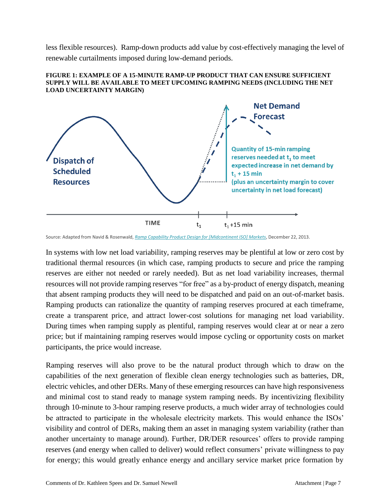less flexible resources). Ramp-down products add value by cost-effectively managing the level of renewable curtailments imposed during low-demand periods.

<span id="page-10-0"></span>



Source: Adapted from Navid & Rosenwald, *Ramp Capability Product Design for [\[Midcontinent](https://cdn.misoenergy.org/Ramp%20Capability%20for%20Load%20Following%20in%20MISO%20Markets%20White%20Paper271169.pdf) ISO] Markets*, December 22, 2013.

In systems with low net load variability, ramping reserves may be plentiful at low or zero cost by traditional thermal resources (in which case, ramping products to secure and price the ramping reserves are either not needed or rarely needed). But as net load variability increases, thermal resources will not provide ramping reserves "for free" as a by-product of energy dispatch, meaning that absent ramping products they will need to be dispatched and paid on an out-of-market basis. Ramping products can rationalize the quantity of ramping reserves procured at each timeframe, create a transparent price, and attract lower-cost solutions for managing net load variability. During times when ramping supply as plentiful, ramping reserves would clear at or near a zero price; but if maintaining ramping reserves would impose cycling or opportunity costs on market participants, the price would increase.

Ramping reserves will also prove to be the natural product through which to draw on the capabilities of the next generation of flexible clean energy technologies such as batteries, DR, electric vehicles, and other DERs. Many of these emerging resources can have high responsiveness and minimal cost to stand ready to manage system ramping needs. By incentivizing flexibility through 10-minute to 3-hour ramping reserve products, a much wider array of technologies could be attracted to participate in the wholesale electricity markets. This would enhance the ISOs' visibility and control of DERs, making them an asset in managing system variability (rather than another uncertainty to manage around). Further, DR/DER resources' offers to provide ramping reserves (and energy when called to deliver) would reflect consumers' private willingness to pay for energy; this would greatly enhance energy and ancillary service market price formation by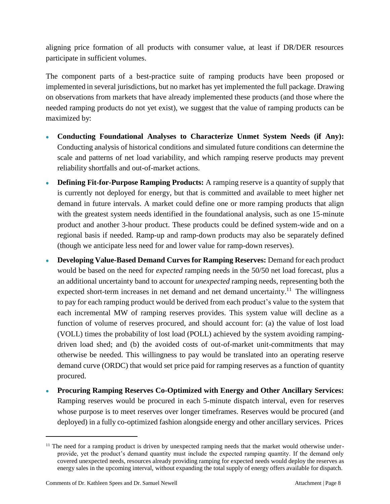aligning price formation of all products with consumer value, at least if DR/DER resources participate in sufficient volumes.

The component parts of a best-practice suite of ramping products have been proposed or implemented in several jurisdictions, but no market has yet implemented the full package. Drawing on observations from markets that have already implemented these products (and those where the needed ramping products do not yet exist), we suggest that the value of ramping products can be maximized by:

- **Conducting Foundational Analyses to Characterize Unmet System Needs (if Any):** Conducting analysis of historical conditions and simulated future conditions can determine the scale and patterns of net load variability, and which ramping reserve products may prevent reliability shortfalls and out-of-market actions.
- **Defining Fit-for-Purpose Ramping Products:** A ramping reserve is a quantity of supply that is currently not deployed for energy, but that is committed and available to meet higher net demand in future intervals. A market could define one or more ramping products that align with the greatest system needs identified in the foundational analysis, such as one 15-minute product and another 3-hour product. These products could be defined system-wide and on a regional basis if needed. Ramp-up and ramp-down products may also be separately defined (though we anticipate less need for and lower value for ramp-down reserves).
- **Developing Value-Based Demand Curves for Ramping Reserves:** Demand for each product would be based on the need for *expected* ramping needs in the 50/50 net load forecast, plus a an additional uncertainty band to account for *unexpected* ramping needs, representing both the expected short-term increases in net demand and net demand uncertainty.<sup>11</sup> The willingness to pay for each ramping product would be derived from each product's value to the system that each incremental MW of ramping reserves provides. This system value will decline as a function of volume of reserves procured, and should account for: (a) the value of lost load (VOLL) times the probability of lost load (POLL) achieved by the system avoiding rampingdriven load shed; and (b) the avoided costs of out-of-market unit-commitments that may otherwise be needed. This willingness to pay would be translated into an operating reserve demand curve (ORDC) that would set price paid for ramping reserves as a function of quantity procured.
- **Procuring Ramping Reserves Co-Optimized with Energy and Other Ancillary Services:** Ramping reserves would be procured in each 5-minute dispatch interval, even for reserves whose purpose is to meet reserves over longer timeframes. Reserves would be procured (and deployed) in a fully co-optimized fashion alongside energy and other ancillary services. Prices

 $11$  The need for a ramping product is driven by unexpected ramping needs that the market would otherwise underprovide, yet the product's demand quantity must include the expected ramping quantity. If the demand only covered unexpected needs, resources already providing ramping for expected needs would deploy the reserves as energy sales in the upcoming interval, without expanding the total supply of energy offers available for dispatch.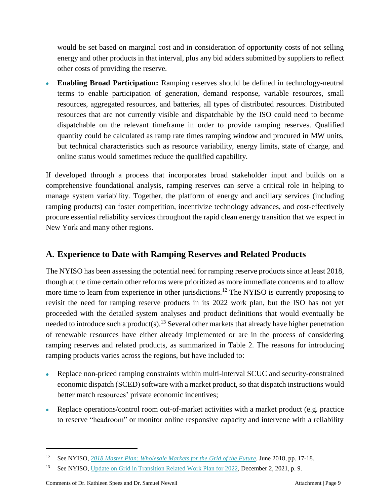would be set based on marginal cost and in consideration of opportunity costs of not selling energy and other products in that interval, plus any bid adders submitted by suppliers to reflect other costs of providing the reserve.

• **Enabling Broad Participation:** Ramping reserves should be defined in technology-neutral terms to enable participation of generation, demand response, variable resources, small resources, aggregated resources, and batteries, all types of distributed resources. Distributed resources that are not currently visible and dispatchable by the ISO could need to become dispatchable on the relevant timeframe in order to provide ramping reserves. Qualified quantity could be calculated as ramp rate times ramping window and procured in MW units, but technical characteristics such as resource variability, energy limits, state of charge, and online status would sometimes reduce the qualified capability.

If developed through a process that incorporates broad stakeholder input and builds on a comprehensive foundational analysis, ramping reserves can serve a critical role in helping to manage system variability. Together, the platform of energy and ancillary services (including ramping products) can foster competition, incentivize technology advances, and cost-effectively procure essential reliability services throughout the rapid clean energy transition that we expect in New York and many other regions.

# <span id="page-12-0"></span>**A. Experience to Date with Ramping Reserves and Related Products**

The NYISO has been assessing the potential need for ramping reserve products since at least 2018, though at the time certain other reforms were prioritized as more immediate concerns and to allow more time to learn from experience in other jurisdictions.<sup>12</sup> The NYISO is currently proposing to revisit the need for ramping reserve products in its 2022 work plan, but the ISO has not yet proceeded with the detailed system analyses and product definitions that would eventually be needed to introduce such a product(s).<sup>13</sup> Several other markets that already have higher penetration of renewable resources have either already implemented or are in the process of considering ramping reserves and related products, as summarized in [Table 2.](#page-14-1) The reasons for introducing ramping products varies across the regions, but have included to:

- Replace non-priced ramping constraints within multi-interval SCUC and security-constrained economic dispatch (SCED) software with a market product, so that dispatch instructions would better match resources' private economic incentives;
- Replace operations/control room out-of-market activities with a market product (e.g. practice to reserve "headroom" or monitor online responsive capacity and intervene with a reliability

<sup>12</sup> See NYISO, *[2018 Master](https://www.nyiso.com/documents/20142/4347040/2018-Master-Plan.pdf/88225d15-082b-c07a-b8ef-ccac3619a1ce) Plan: Wholesale Markets for the Grid of the Future,* June 2018, pp. 17-18.

<sup>&</sup>lt;sup>13</sup> See NYISO, Update on Grid in Transition [Related Work](https://www.nyiso.com/documents/20142/26628478/20211202%20NYISO%20-%20Update%20on%20Grid%20in%20Transition%20Recommendations%202021%20and%202022.pdf/d5179916-b211-6c3a-bd93-e1ca1a2a23c6) Plan for 2022, December 2, 2021, p. 9.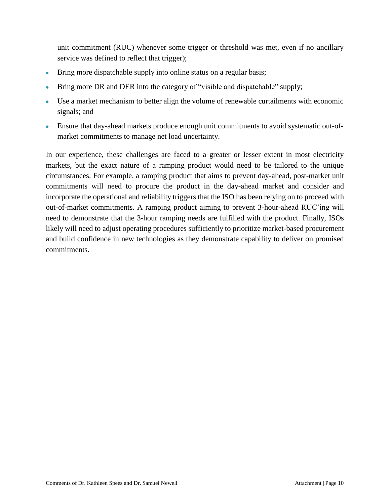unit commitment (RUC) whenever some trigger or threshold was met, even if no ancillary service was defined to reflect that trigger);

- Bring more dispatchable supply into online status on a regular basis;
- Bring more DR and DER into the category of "visible and dispatchable" supply;
- Use a market mechanism to better align the volume of renewable curtailments with economic signals; and
- Ensure that day-ahead markets produce enough unit commitments to avoid systematic out-ofmarket commitments to manage net load uncertainty.

In our experience, these challenges are faced to a greater or lesser extent in most electricity markets, but the exact nature of a ramping product would need to be tailored to the unique circumstances. For example, a ramping product that aims to prevent day-ahead, post-market unit commitments will need to procure the product in the day-ahead market and consider and incorporate the operational and reliability triggers that the ISO has been relying on to proceed with out-of-market commitments. A ramping product aiming to prevent 3-hour-ahead RUC'ing will need to demonstrate that the 3-hour ramping needs are fulfilled with the product. Finally, ISOs likely will need to adjust operating procedures sufficiently to prioritize market-based procurement and build confidence in new technologies as they demonstrate capability to deliver on promised commitments.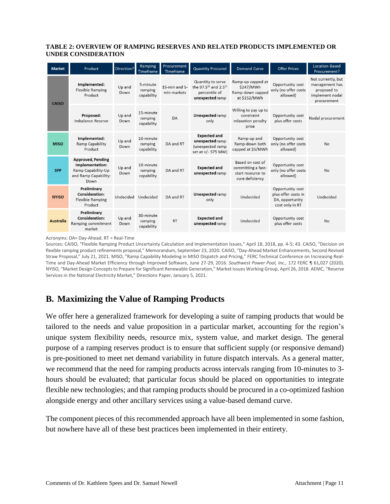#### <span id="page-14-1"></span>**TABLE 2: OVERVIEW OF RAMPING RESERVES AND RELATED PRODUCTS IMPLEMENTED OR UNDER CONSIDERATION**

| <b>Market</b>    | Product                                                                                           | Direction?     | Ramping<br>Timeframe               | Procurement<br>Timeframe     | <b>Quantity Procured</b>                                                                              | <b>Demand Curve</b>                                                            | <b>Offer Prices</b>                                                           | Location-Based<br>Procurement?                                                        |
|------------------|---------------------------------------------------------------------------------------------------|----------------|------------------------------------|------------------------------|-------------------------------------------------------------------------------------------------------|--------------------------------------------------------------------------------|-------------------------------------------------------------------------------|---------------------------------------------------------------------------------------|
| <b>CAISO</b>     | Implemented:<br><b>Flexible Ramping</b><br>Product                                                | Up and<br>Down | 5-minute<br>ramping<br>capability  | 15-min and 5-<br>min markets | Quantity to serve<br>the 97.5 <sup>th</sup> and 2.5 <sup>th</sup><br>percentile of<br>unexpected ramp | Ramp-up capped at<br>\$247/MWh<br>Ramp-down capped<br>at \$152/MWh             | Opportunity cost<br>only (no offer costs<br>allowed)                          | Not currently, but<br>management has<br>proposed to<br>implement nodal<br>procurement |
|                  | Proposed:<br>Imbalance Reserve                                                                    | Up and<br>Down | 15-minute<br>ramping<br>capability | DA                           | <b>Unexpected ramp</b><br>only                                                                        | Willing to pay up to<br>constraint<br>relaxation penalty<br>price              | Opportunity cost<br>plus offer costs                                          | Nodal procurement                                                                     |
| <b>MISO</b>      | Implemented:<br>Ramp Capability<br>Product                                                        | Up and<br>Down | 10-minute<br>ramping<br>capability | DA and RT                    | <b>Expected and</b><br>unexpected ramp<br>(unexpected ramp<br>set at +/- 575 MW)                      | Ramp-up and<br>Ramp-down both<br>capped at \$5/MWh                             | Opportunity cost<br>only (no offer costs<br>allowed)                          | <b>No</b>                                                                             |
| <b>SPP</b>       | <b>Approved, Pending</b><br>Implementation:<br>Ramp Capability-Up<br>and Ramp Capability-<br>Down | Up and<br>Down | 10-minute<br>ramping<br>capability | DA and RT                    | <b>Expected and</b><br>unexpected ramp                                                                | Based on cost of<br>committing a fast-<br>start resource to<br>cure deficiency | Opportunity cost<br>only (no offer costs<br>allowed)                          | <b>No</b>                                                                             |
| <b>NYISO</b>     | Preliminary<br>Consideration:<br><b>Flexible Ramping</b><br>Product                               | Undecided      | Undecided                          | DA and RT                    | <b>Unexpected ramp</b><br>only                                                                        | Undecided                                                                      | Opportunity cost<br>plus offer costs in<br>DA, opportunity<br>cost only in RT | Undecided                                                                             |
| <b>Australia</b> | Preliminary<br><b>Consideration:</b><br>Ramping commitment<br>market                              | Up and<br>Down | 30-minute<br>ramping<br>capability | <b>RT</b>                    | <b>Expected and</b><br>unexpected ramp                                                                | Undecided                                                                      | Opportunity cost<br>plus offer costs                                          | <b>No</b>                                                                             |

Acronyms: DA= Day-Ahead. RT = Real-Time

Sources: CAISO, "Flexible Ramping Product Uncertainty Calculation and Implementation Issues," April 18, 2018, pp. 4-5; 43. CAISO, "Decision on flexible ramping product refinements proposal," Memorandum, September 23, 2020. CAISO, "Day-Ahead Market Enhancements, Second Revised Straw Proposal," July 21, 2021. MISO, "Ramp Capability Modeling in MISO Dispatch and Pricing," FERC Technical Conference on Increasing Real-Time and Day-Ahead Market Efficiency through Improved Software, June 27-29, 2016. *Southwest Power Pool, Inc.,* 172 FERC ¶ 61,027 (2020). NYISO, "Market Design Conceptsto Prepare for Significant Renewable Generation," Market Issues Working Group, April 26, 2018. AEMC, "Reserve Services in the National Electricity Market," Directions Paper, January 5, 2021.

# <span id="page-14-0"></span>**B. Maximizing the Value of Ramping Products**

We offer here a generalized framework for developing a suite of ramping products that would be tailored to the needs and value proposition in a particular market, accounting for the region's unique system flexibility needs, resource mix, system value, and market design. The general purpose of a ramping reserves product is to ensure that sufficient supply (or responsive demand) is pre-positioned to meet net demand variability in future dispatch intervals. As a general matter, we recommend that the need for ramping products across intervals ranging from 10-minutes to 3 hours should be evaluated; that particular focus should be placed on opportunities to integrate flexible new technologies; and that ramping products should be procured in a co-optimized fashion alongside energy and other ancillary services using a value-based demand curve.

The component pieces of this recommended approach have all been implemented in some fashion, but nowhere have all of these best practices been implemented in their entirety.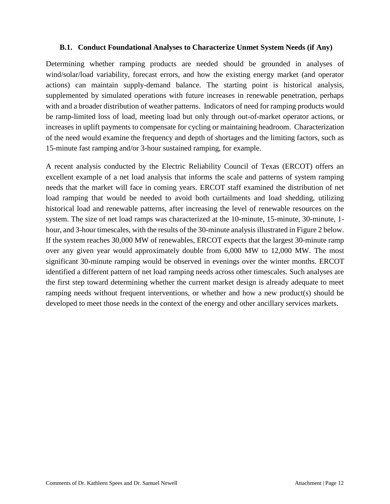## <span id="page-15-0"></span>**B.1. Conduct Foundational Analyses to Characterize Unmet System Needs (if Any)**

Determining whether ramping products are needed should be grounded in analyses of wind/solar/load variability, forecast errors, and how the existing energy market (and operator actions) can maintain supply-demand balance. The starting point is historical analysis, supplemented by simulated operations with future increases in renewable penetration, perhaps with and a broader distribution of weather patterns. Indicators of need for ramping products would be ramp-limited loss of load, meeting load but only through out-of-market operator actions, or increases in uplift payments to compensate for cycling or maintaining headroom. Characterization of the need would examine the frequency and depth of shortages and the limiting factors, such as 15-minute fast ramping and/or 3-hour sustained ramping, for example.

A recent analysis conducted by the Electric Reliability Council of Texas (ERCOT) offers an excellent example of a net load analysis that informs the scale and patterns of system ramping needs that the market will face in coming years. ERCOT staff examined the distribution of net load ramping that would be needed to avoid both curtailments and load shedding, utilizing historical load and renewable patterns, after increasing the level of renewable resources on the system. The size of net load ramps was characterized at the 10-minute, 15-minute, 30-minute, 1 hour, and 3-hour timescales, with the results of the 30-minute analysis illustrated in [Figure](#page-16-1) 2 below. If the system reaches 30,000 MW of renewables, ERCOT expects that the largest 30-minute ramp over any given year would approximately double from 6,000 MW to 12,000 MW. The most significant 30-minute ramping would be observed in evenings over the winter months. ERCOT identified a different pattern of net load ramping needs across other timescales. Such analyses are the first step toward determining whether the current market design is already adequate to meet ramping needs without frequent interventions, or whether and how a new product(s) should be developed to meet those needs in the context of the energy and other ancillary services markets.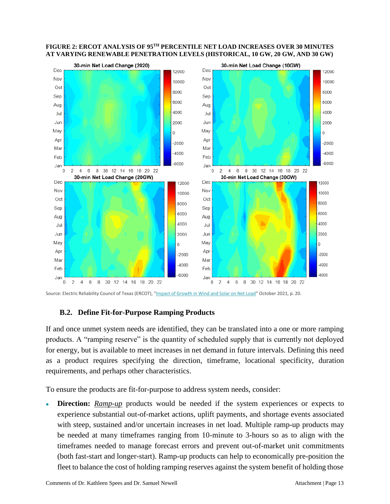

#### <span id="page-16-1"></span>**FIGURE 2: ERCOT ANALYSIS OF 95TH PERCENTILE NET LOAD INCREASES OVER 30 MINUTES AT VARYING RENEWABLE PENETRATION LEVELS (HISTORICAL, 10 GW, 20 GW, AND 30 GW)**

<span id="page-16-0"></span>Source: Electric Reliability Council of Texas (ERCOT), "Impact of Growth [in Wind](https://www.ercot.com/files/docs/2021/10/25/NetLoad_Ramping_Analysis_v2_WMWG.pptx) and Solar on Net Load" October 2021, p. 20.

## **B.2. Define Fit-for-Purpose Ramping Products**

If and once unmet system needs are identified, they can be translated into a one or more ramping products. A "ramping reserve" is the quantity of scheduled supply that is currently not deployed for energy, but is available to meet increases in net demand in future intervals. Defining this need as a product requires specifying the direction, timeframe, locational specificity, duration requirements, and perhaps other characteristics.

To ensure the products are fit-for-purpose to address system needs, consider:

**Direction:** *Ramp-up* products would be needed if the system experiences or expects to experience substantial out-of-market actions, uplift payments, and shortage events associated with steep, sustained and/or uncertain increases in net load. Multiple ramp-up products may be needed at many timeframes ranging from 10-minute to 3-hours so as to align with the timeframes needed to manage forecast errors and prevent out-of-market unit commitments (both fast-start and longer-start). Ramp-up products can help to economically pre-position the fleet to balance the cost of holding ramping reserves against the system benefit of holding those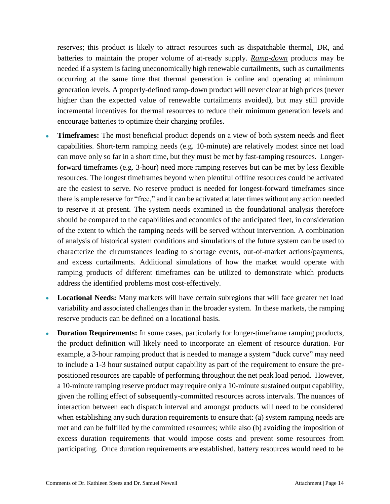reserves; this product is likely to attract resources such as dispatchable thermal, DR, and batteries to maintain the proper volume of at-ready supply. *Ramp-down* products may be needed if a system is facing uneconomically high renewable curtailments, such as curtailments occurring at the same time that thermal generation is online and operating at minimum generation levels. A properly-defined ramp-down product will never clear at high prices (never higher than the expected value of renewable curtailments avoided), but may still provide incremental incentives for thermal resources to reduce their minimum generation levels and encourage batteries to optimize their charging profiles.

- **Timeframes:** The most beneficial product depends on a view of both system needs and fleet capabilities. Short-term ramping needs (e.g. 10-minute) are relatively modest since net load can move only so far in a short time, but they must be met by fast-ramping resources. Longerforward timeframes (e.g. 3-hour) need more ramping reserves but can be met by less flexible resources. The longest timeframes beyond when plentiful offline resources could be activated are the easiest to serve. No reserve product is needed for longest-forward timeframes since there is ample reserve for "free," and it can be activated at later times without any action needed to reserve it at present. The system needs examined in the foundational analysis therefore should be compared to the capabilities and economics of the anticipated fleet, in consideration of the extent to which the ramping needs will be served without intervention. A combination of analysis of historical system conditions and simulations of the future system can be used to characterize the circumstances leading to shortage events, out-of-market actions/payments, and excess curtailments. Additional simulations of how the market would operate with ramping products of different timeframes can be utilized to demonstrate which products address the identified problems most cost-effectively.
- **Locational Needs:** Many markets will have certain subregions that will face greater net load variability and associated challenges than in the broader system. In these markets, the ramping reserve products can be defined on a locational basis.
- **Duration Requirements:** In some cases, particularly for longer-timeframe ramping products, the product definition will likely need to incorporate an element of resource duration. For example, a 3-hour ramping product that is needed to manage a system "duck curve" may need to include a 1-3 hour sustained output capability as part of the requirement to ensure the prepositioned resources are capable of performing throughout the net peak load period. However, a 10-minute ramping reserve product may require only a 10-minute sustained output capability, given the rolling effect of subsequently-committed resources across intervals. The nuances of interaction between each dispatch interval and amongst products will need to be considered when establishing any such duration requirements to ensure that: (a) system ramping needs are met and can be fulfilled by the committed resources; while also (b) avoiding the imposition of excess duration requirements that would impose costs and prevent some resources from participating. Once duration requirements are established, battery resources would need to be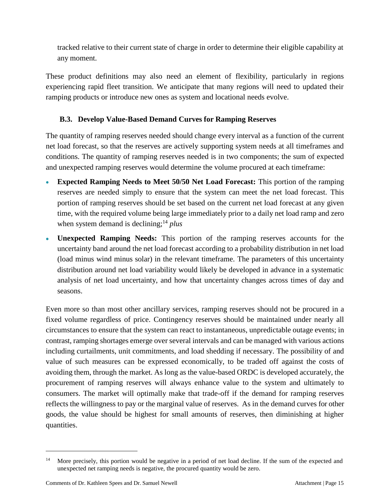tracked relative to their current state of charge in order to determine their eligible capability at any moment.

These product definitions may also need an element of flexibility, particularly in regions experiencing rapid fleet transition. We anticipate that many regions will need to updated their ramping products or introduce new ones as system and locational needs evolve.

## **B.3. Develop Value-Based Demand Curves for Ramping Reserves**

<span id="page-18-0"></span>The quantity of ramping reserves needed should change every interval as a function of the current net load forecast, so that the reserves are actively supporting system needs at all timeframes and conditions. The quantity of ramping reserves needed is in two components; the sum of expected and unexpected ramping reserves would determine the volume procured at each timeframe:

- **Expected Ramping Needs to Meet 50/50 Net Load Forecast:** This portion of the ramping reserves are needed simply to ensure that the system can meet the net load forecast. This portion of ramping reserves should be set based on the current net load forecast at any given time, with the required volume being large immediately prior to a daily net load ramp and zero when system demand is declining;<sup>14</sup> *plus*
- **Unexpected Ramping Needs:** This portion of the ramping reserves accounts for the uncertainty band around the net load forecast according to a probability distribution in net load (load minus wind minus solar) in the relevant timeframe. The parameters of this uncertainty distribution around net load variability would likely be developed in advance in a systematic analysis of net load uncertainty, and how that uncertainty changes across times of day and seasons.

Even more so than most other ancillary services, ramping reserves should not be procured in a fixed volume regardless of price. Contingency reserves should be maintained under nearly all circumstances to ensure that the system can react to instantaneous, unpredictable outage events; in contrast, ramping shortages emerge over several intervals and can be managed with various actions including curtailments, unit commitments, and load shedding if necessary. The possibility of and value of such measures can be expressed economically, to be traded off against the costs of avoiding them, through the market. As long as the value-based ORDC is developed accurately, the procurement of ramping reserves will always enhance value to the system and ultimately to consumers. The market will optimally make that trade-off if the demand for ramping reserves reflects the willingness to pay or the marginal value of reserves. As in the demand curves for other goods, the value should be highest for small amounts of reserves, then diminishing at higher quantities.

<sup>&</sup>lt;sup>14</sup> More precisely, this portion would be negative in a period of net load decline. If the sum of the expected and unexpected net ramping needs is negative, the procured quantity would be zero.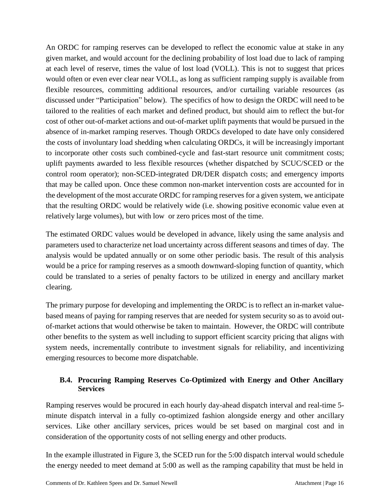An ORDC for ramping reserves can be developed to reflect the economic value at stake in any given market, and would account for the declining probability of lost load due to lack of ramping at each level of reserve, times the value of lost load (VOLL). This is not to suggest that prices would often or even ever clear near VOLL, as long as sufficient ramping supply is available from flexible resources, committing additional resources, and/or curtailing variable resources (as discussed under "Participation" below). The specifics of how to design the ORDC will need to be tailored to the realities of each market and defined product, but should aim to reflect the but-for cost of other out-of-market actions and out-of-market uplift payments that would be pursued in the absence of in-market ramping reserves. Though ORDCs developed to date have only considered the costs of involuntary load shedding when calculating ORDCs, it will be increasingly important to incorporate other costs such combined-cycle and fast-start resource unit commitment costs; uplift payments awarded to less flexible resources (whether dispatched by SCUC/SCED or the control room operator); non-SCED-integrated DR/DER dispatch costs; and emergency imports that may be called upon. Once these common non-market intervention costs are accounted for in the development of the most accurate ORDC for ramping reserves for a given system, we anticipate that the resulting ORDC would be relatively wide (i.e. showing positive economic value even at relatively large volumes), but with low or zero prices most of the time.

The estimated ORDC values would be developed in advance, likely using the same analysis and parameters used to characterize net load uncertainty across different seasons and times of day. The analysis would be updated annually or on some other periodic basis. The result of this analysis would be a price for ramping reserves as a smooth downward-sloping function of quantity, which could be translated to a series of penalty factors to be utilized in energy and ancillary market clearing.

The primary purpose for developing and implementing the ORDC is to reflect an in-market valuebased means of paying for ramping reserves that are needed for system security so as to avoid outof-market actions that would otherwise be taken to maintain. However, the ORDC will contribute other benefits to the system as well including to support efficient scarcity pricing that aligns with system needs, incrementally contribute to investment signals for reliability, and incentivizing emerging resources to become more dispatchable.

## <span id="page-19-0"></span>**B.4. Procuring Ramping Reserves Co-Optimized with Energy and Other Ancillary Services**

Ramping reserves would be procured in each hourly day-ahead dispatch interval and real-time 5 minute dispatch interval in a fully co-optimized fashion alongside energy and other ancillary services. Like other ancillary services, prices would be set based on marginal cost and in consideration of the opportunity costs of not selling energy and other products.

In the example illustrated in [Figure](#page-20-1) 3, the SCED run for the 5:00 dispatch interval would schedule the energy needed to meet demand at 5:00 as well as the ramping capability that must be held in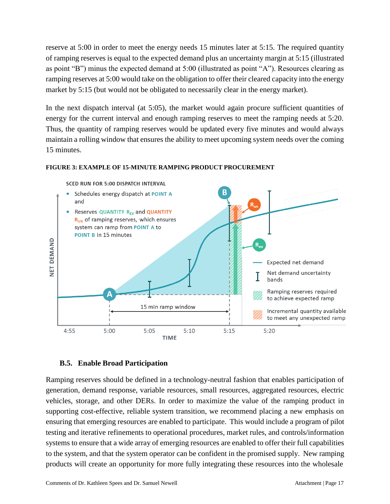reserve at 5:00 in order to meet the energy needs 15 minutes later at 5:15. The required quantity of ramping reserves is equal to the expected demand plus an uncertainty margin at 5:15 (illustrated as point "B") minus the expected demand at 5:00 (illustrated as point "A"). Resources clearing as ramping reserves at 5:00 would take on the obligation to offer their cleared capacity into the energy market by 5:15 (but would not be obligated to necessarily clear in the energy market).

In the next dispatch interval (at 5:05), the market would again procure sufficient quantities of energy for the current interval and enough ramping reserves to meet the ramping needs at 5:20. Thus, the quantity of ramping reserves would be updated every five minutes and would always maintain a rolling window that ensures the ability to meet upcoming system needs over the coming 15 minutes.

#### <span id="page-20-1"></span>**FIGURE 3: EXAMPLE OF 15-MINUTE RAMPING PRODUCT PROCUREMENT**



## **B.5. Enable Broad Participation**

<span id="page-20-0"></span>Ramping reserves should be defined in a technology-neutral fashion that enables participation of generation, demand response, variable resources, small resources, aggregated resources, electric vehicles, storage, and other DERs. In order to maximize the value of the ramping product in supporting cost-effective, reliable system transition, we recommend placing a new emphasis on ensuring that emerging resources are enabled to participate. This would include a program of pilot testing and iterative refinements to operational procedures, market rules, and controls/information systems to ensure that a wide array of emerging resources are enabled to offer their full capabilities to the system, and that the system operator can be confident in the promised supply. New ramping products will create an opportunity for more fully integrating these resources into the wholesale